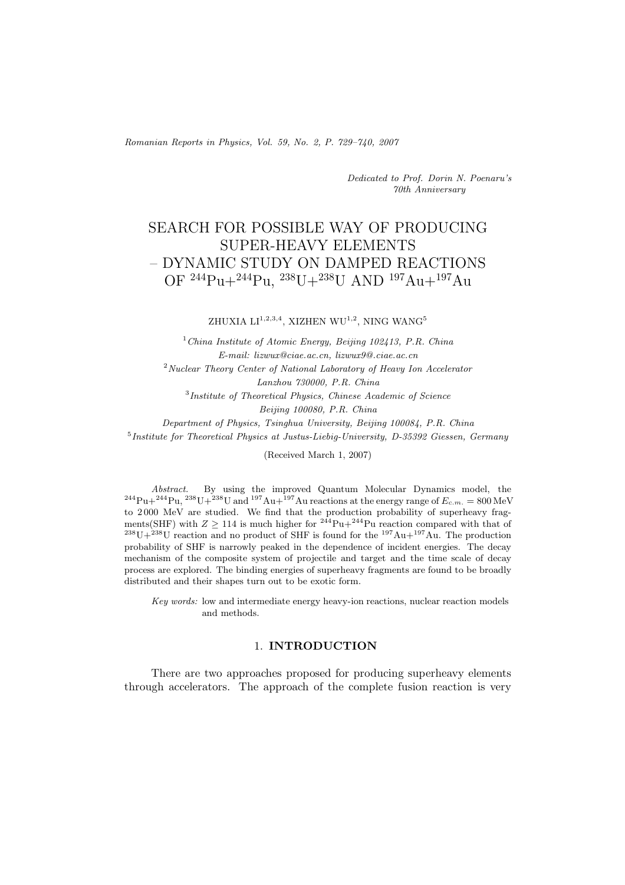*Romanian Reports in Physics, Vol. 59, No. 2, P. 729–740, 2007*

*Dedicated to Prof. Dorin N. Poenaru's 70th Anniversary*

# SEARCH FOR POSSIBLE WAY OF PRODUCING SUPER-HEAVY ELEMENTS – DYNAMIC STUDY ON DAMPED REACTIONS OF <sup>244</sup>Pu+<sup>244</sup>Pu, <sup>238</sup>U+<sup>238</sup>U AND <sup>197</sup>Au+<sup>197</sup>Au

ZHUXIA  $LI^{1,2,3,4}$ , XIZHEN WU<sup>1,2</sup>, NING WANG<sup>5</sup>

<sup>1</sup>*China Institute of Atomic Energy, Beijing 102413, P.R. China E-mail: lizwux@ciae.ac.cn, lizwux9@.ciae.ac.cn* <sup>2</sup>*Nuclear Theory Center of National Laboratory of Heavy Ion Accelerator Lanzhou 730000, P.R. China* <sup>3</sup>*Institute of Theoretical Physics, Chinese Academic of Science Beijing 100080, P.R. China Department of Physics, Tsinghua University, Beijing 100084, P.R. China* <sup>5</sup>*Institute for Theoretical Physics at Justus-Liebig-University, D-35392 Giessen, Germany*

(Received March 1, 2007)

*Abstract.* By using the improved Quantum Molecular Dynamics model, the  $^{244}\text{Pu}+^{244}\text{Pu}$ ,  $^{238}\text{U}+^{238}\text{U}$  and  $^{197}\text{Au}+^{197}\text{Au}$  reactions at the energy range of  $E_{c.m.} = 800 \text{ MeV}$ <br>to 2000 MeV are studied. We find that the production probability of superheavy frag to 2000 MeV are studied. We find that the production probability of superheavy frag-<br>ments(SHF) with  $Z \ge 114$  is much higher for <sup>244</sup>Pu+<sup>244</sup>Pu reaction compared with that of  $m^{238}U+^{238}U$  reaction and no product of SHF is found for the  $197Au+197Au$ . The production probability of SHF is narrowly peaked in the dependence of incident energies. The decay mechanism of the composite system of projectile and target and the time scale of decay process are explored. The binding energies of superheavy fragments are found to be broadly distributed and their shapes turn out to be exotic form.

*Key words:* low and intermediate energy heavy-ion reactions, nuclear reaction models and methods.

## 1. **INTRODUCTION**

There are two approaches proposed for producing superheavy elements through accelerators. The approach of the complete fusion reaction is very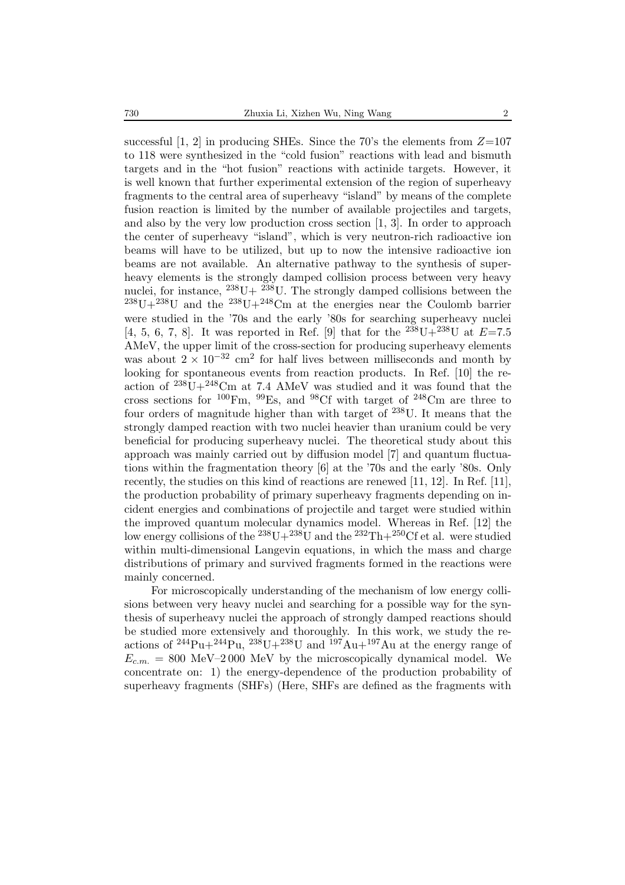successful [1, 2] in producing SHEs. Since the 70's the elements from  $Z=107$ to 118 were synthesized in the "cold fusion" reactions with lead and bismuth targets and in the "hot fusion" reactions with actinide targets. However, it is well known that further experimental extension of the region of superheavy fragments to the central area of superheavy "island" by means of the complete fusion reaction is limited by the number of available projectiles and targets, and also by the very low production cross section [1, 3]. In order to approach the center of superheavy "island", which is very neutron-rich radioactive ion beams will have to be utilized, but up to now the intensive radioactive ion beams are not available. An alternative pathway to the synthesis of superheavy elements is the strongly damped collision process between very heavy nuclei, for instance,  $^{238}U+~^{238}U$ . The strongly damped collisions between the  $^{238}U+^{238}U$  and the  $^{238}U+^{248}Cm$  at the energies near the Coulomb barrier were studied in the '70s and the early '80s for searching superheavy nuclei [4, 5, 6, 7, 8]. It was reported in Ref. [9] that for the  $^{238}U+^{238}U$  at  $E=7.5$ AMeV, the upper limit of the cross-section for producing superheavy elements was about  $2 \times 10^{-32}$  cm<sup>2</sup> for half lives between milliseconds and month by looking for spontaneous events from reaction products. In Ref. [10] the reaction of  $238U+248Cm$  at 7.4 AMeV was studied and it was found that the cross sections for  $^{100}$ Fm,  $^{99}$ Es, and  $^{98}$ Cf with target of  $^{248}$ Cm are three to four orders of magnitude higher than with target of  $238$ U. It means that the strongly damped reaction with two nuclei heavier than uranium could be very beneficial for producing superheavy nuclei. The theoretical study about this approach was mainly carried out by diffusion model [7] and quantum fluctuations within the fragmentation theory [6] at the '70s and the early '80s. Only recently, the studies on this kind of reactions are renewed [11, 12]. In Ref. [11], the production probability of primary superheavy fragments depending on incident energies and combinations of projectile and target were studied within the improved quantum molecular dynamics model. Whereas in Ref. [12] the low energy collisions of the  $^{238}U+^{238}U$  and the  $^{232}Th+^{250}C$ f et al. were studied within multi-dimensional Langevin equations, in which the mass and charge distributions of primary and survived fragments formed in the reactions were mainly concerned.

For microscopically understanding of the mechanism of low energy collisions between very heavy nuclei and searching for a possible way for the synthesis of superheavy nuclei the approach of strongly damped reactions should be studied more extensively and thoroughly. In this work, we study the reactions of <sup>244</sup>Pu+<sup>244</sup>Pu, <sup>238</sup>U+<sup>238</sup>U and <sup>197</sup>Au+<sup>197</sup>Au at the energy range of  $E_{c.m.} = 800 \text{ MeV} - 2000 \text{ MeV}$  by the microscopically dynamical model. We concentrate on: 1) the energy-dependence of the production probability of superheavy fragments (SHFs) (Here, SHFs are defined as the fragments with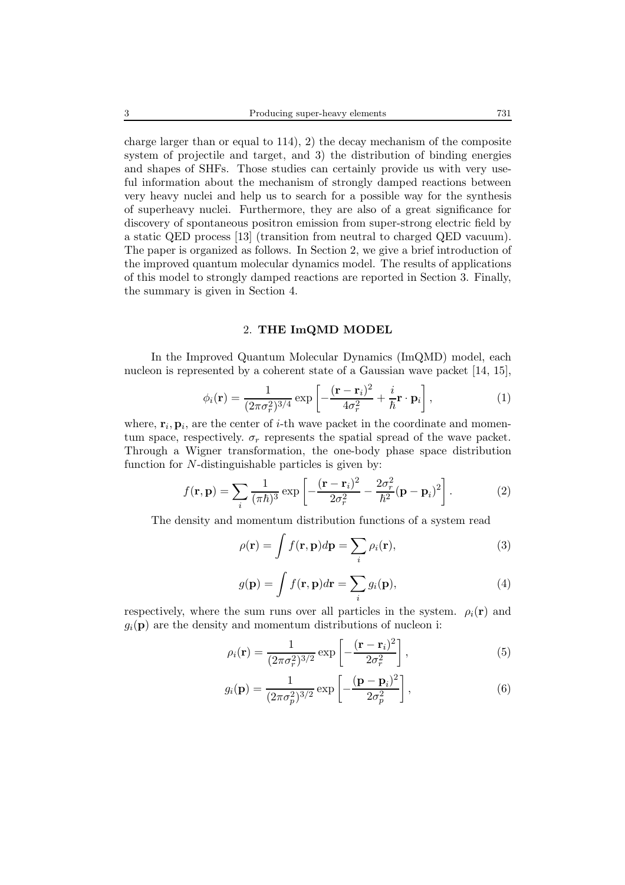charge larger than or equal to 114), 2) the decay mechanism of the composite system of projectile and target, and 3) the distribution of binding energies and shapes of SHFs. Those studies can certainly provide us with very useful information about the mechanism of strongly damped reactions between very heavy nuclei and help us to search for a possible way for the synthesis of superheavy nuclei. Furthermore, they are also of a great significance for discovery of spontaneous positron emission from super-strong electric field by a static QED process [13] (transition from neutral to charged QED vacuum). The paper is organized as follows. In Section 2, we give a brief introduction of the improved quantum molecular dynamics model. The results of applications of this model to strongly damped reactions are reported in Section 3. Finally, the summary is given in Section 4.

### 2. **THE ImQMD MODEL**

In the Improved Quantum Molecular Dynamics (ImQMD) model, each nucleon is represented by a coherent state of a Gaussian wave packet  $(14, 15)$ ,

$$
\phi_i(\mathbf{r}) = \frac{1}{(2\pi\sigma_r^2)^{3/4}} \exp\left[-\frac{(\mathbf{r} - \mathbf{r}_i)^2}{4\sigma_r^2} + \frac{i}{\hbar}\mathbf{r} \cdot \mathbf{p}_i\right],\tag{1}
$$

where,  $\mathbf{r}_i$ ,  $\mathbf{p}_i$ , are the center of *i*-th wave packet in the coordinate and momentum space, respectively.  $\sigma_r$  represents the spatial spread of the wave packet. Through a Wigner transformation, the one-body phase space distribution function for N-distinguishable particles is given by:

$$
f(\mathbf{r}, \mathbf{p}) = \sum_{i} \frac{1}{(\pi \hbar)^3} \exp\left[ -\frac{(\mathbf{r} - \mathbf{r}_i)^2}{2\sigma_r^2} - \frac{2\sigma_r^2}{\hbar^2} (\mathbf{p} - \mathbf{p}_i)^2 \right].
$$
 (2)

The density and momentum distribution functions of a system read

$$
\rho(\mathbf{r}) = \int f(\mathbf{r}, \mathbf{p}) d\mathbf{p} = \sum_{i} \rho_i(\mathbf{r}),
$$
\n(3)

$$
g(\mathbf{p}) = \int f(\mathbf{r}, \mathbf{p}) d\mathbf{r} = \sum_{i} g_i(\mathbf{p}),
$$
 (4)

respectively, where the sum runs over all particles in the system.  $\rho_i(\mathbf{r})$  and  $g_i(\mathbf{p})$  are the density and momentum distributions of nucleon i:

$$
\rho_i(\mathbf{r}) = \frac{1}{(2\pi\sigma_r^2)^{3/2}} \exp\left[-\frac{(\mathbf{r} - \mathbf{r}_i)^2}{2\sigma_r^2}\right],\tag{5}
$$

$$
g_i(\mathbf{p}) = \frac{1}{(2\pi\sigma_p^2)^{3/2}} \exp\left[-\frac{(\mathbf{p} - \mathbf{p}_i)^2}{2\sigma_p^2}\right],\tag{6}
$$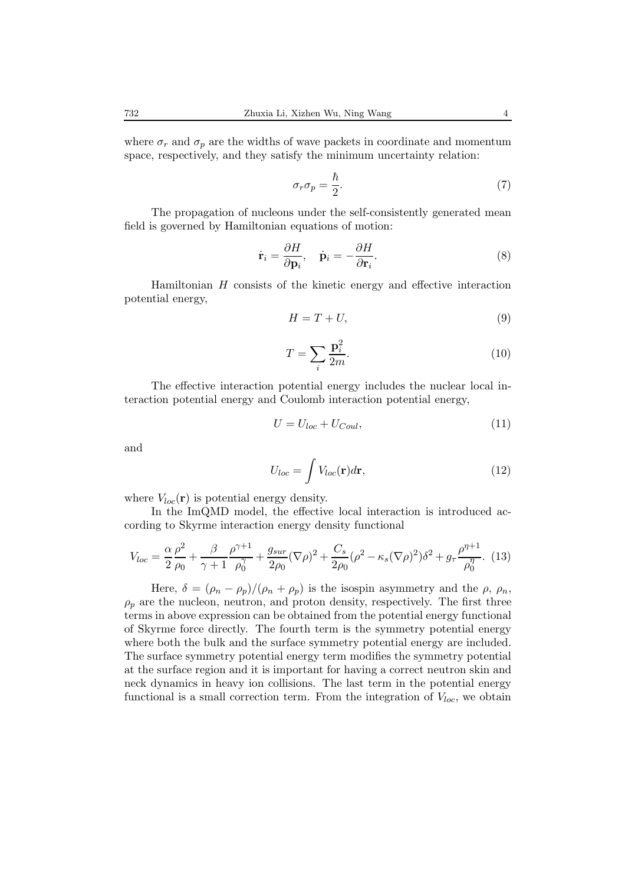where  $\sigma_r$  and  $\sigma_p$  are the widths of wave packets in coordinate and momentum space, respectively, and they satisfy the minimum uncertainty relation:

$$
\sigma_r \sigma_p = \frac{\hbar}{2}.\tag{7}
$$

The propagation of nucleons under the self-consistently generated mean field is governed by Hamiltonian equations of motion:

$$
\dot{\mathbf{r}}_i = \frac{\partial H}{\partial \mathbf{p}_i}, \quad \dot{\mathbf{p}}_i = -\frac{\partial H}{\partial \mathbf{r}_i}.
$$
 (8)

Hamiltonian H consists of the kinetic energy and effective interaction potential energy,

$$
H = T + U,\t\t(9)
$$

$$
T = \sum_{i} \frac{\mathbf{p}_i^2}{2m}.
$$
\n(10)

The effective interaction potential energy includes the nuclear local interaction potential energy and Coulomb interaction potential energy,

$$
U = U_{loc} + U_{Coul},\tag{11}
$$

and

$$
U_{loc} = \int V_{loc}(\mathbf{r})d\mathbf{r},\qquad(12)
$$

where  $V_{loc}(\mathbf{r})$  is potential energy density.

In the ImQMD model, the effective local interaction is introduced according to Skyrme interaction energy density functional

$$
V_{loc} = \frac{\alpha}{2} \frac{\rho^2}{\rho_0} + \frac{\beta}{\gamma + 1} \frac{\rho^{\gamma + 1}}{\rho_0^{\gamma}} + \frac{g_{sur}}{2\rho_0} (\nabla \rho)^2 + \frac{C_s}{2\rho_0} (\rho^2 - \kappa_s (\nabla \rho)^2) \delta^2 + g_\tau \frac{\rho^{\eta + 1}}{\rho_0^{\eta}}. (13)
$$

Here,  $\delta = (\rho_n - \rho_p)/(\rho_n + \rho_p)$  is the isospin asymmetry and the  $\rho$ ,  $\rho_n$ ,  $\rho_p$  are the nucleon, neutron, and proton density, respectively. The first three terms in above expression can be obtained from the potential energy functional of Skyrme force directly. The fourth term is the symmetry potential energy where both the bulk and the surface symmetry potential energy are included. The surface symmetry potential energy term modifies the symmetry potential at the surface region and it is important for having a correct neutron skin and neck dynamics in heavy ion collisions. The last term in the potential energy functional is a small correction term. From the integration of  $V_{loc}$ , we obtain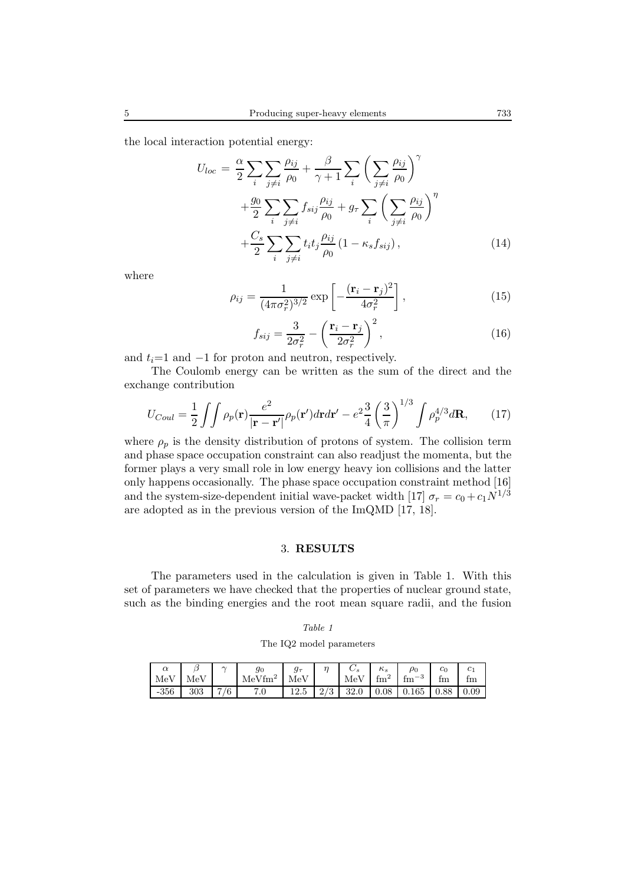the local interaction potential energy:

$$
U_{loc} = \frac{\alpha}{2} \sum_{i} \sum_{j \neq i} \frac{\rho_{ij}}{\rho_0} + \frac{\beta}{\gamma + 1} \sum_{i} \left( \sum_{j \neq i} \frac{\rho_{ij}}{\rho_0} \right)^{\gamma} + \frac{g_0}{2} \sum_{i} \sum_{j \neq i} f_{sij} \frac{\rho_{ij}}{\rho_0} + g_{\tau} \sum_{i} \left( \sum_{j \neq i} \frac{\rho_{ij}}{\rho_0} \right)^{\eta} + \frac{C_s}{2} \sum_{i} \sum_{j \neq i} t_i t_j \frac{\rho_{ij}}{\rho_0} (1 - \kappa_s f_{sij}), \qquad (14)
$$

where

$$
\rho_{ij} = \frac{1}{(4\pi\sigma_r^2)^{3/2}} \exp\left[-\frac{(\mathbf{r}_i - \mathbf{r}_j)^2}{4\sigma_r^2}\right],\tag{15}
$$

$$
f_{sij} = \frac{3}{2\sigma_r^2} - \left(\frac{\mathbf{r}_i - \mathbf{r}_j}{2\sigma_r^2}\right)^2,\tag{16}
$$

and  $t_i=1$  and  $-1$  for proton and neutron, respectively.

The Coulomb energy can be written as the sum of the direct and the exchange contribution

$$
U_{Coul} = \frac{1}{2} \iint \rho_p(\mathbf{r}) \frac{e^2}{|\mathbf{r} - \mathbf{r}'|} \rho_p(\mathbf{r}') d\mathbf{r} d\mathbf{r}' - e^2 \frac{3}{4} \left(\frac{3}{\pi}\right)^{1/3} \int \rho_p^{4/3} d\mathbf{R},\qquad(17)
$$

where  $\rho_p$  is the density distribution of protons of system. The collision term and phase space occupation constraint can also readjust the momenta, but the former plays a very small role in low energy heavy ion collisions and the latter only happens occasionally. The phase space occupation constraint method [16] and the system-size-dependent initial wave-packet width [17]  $\sigma_r = c_0 + c_1 \dot{N}^{1/3}$ are adopted as in the previous version of the ImQMD [17, 18].

### 3. **RESULTS**

The parameters used in the calculation is given in Table 1. With this set of parameters we have checked that the properties of nuclear ground state, such as the binding energies and the root mean square radii, and the fusion

| ante<br>×<br>×<br>۰. |  |
|----------------------|--|
|----------------------|--|

The IQ2 model parameters

| MeV    | MeV | $\sim$ | $g_{0}$<br>$MeV$ fm <sup>2</sup> | MeV  |     | MeV  | $\kappa_s$<br>$\text{fm}^2$ | $\rho_0$<br>fm<br>- 3 | $c_0$<br>tm | $c_1$<br>fm |
|--------|-----|--------|----------------------------------|------|-----|------|-----------------------------|-----------------------|-------------|-------------|
| $-356$ | 303 | 7/6    | 7.0                              | 12.5 | 2/3 | 32.0 |                             | $0.08 \pm 0.165$      | $\mid$ 0.88 | 0.09        |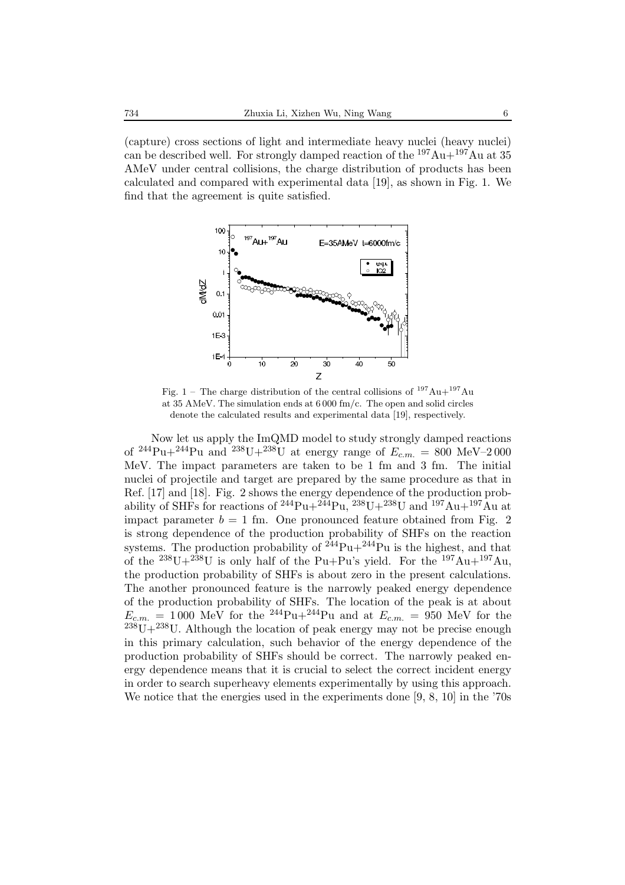(capture) cross sections of light and intermediate heavy nuclei (heavy nuclei) can be described well. For strongly damped reaction of the  $197\,\text{Au} + 197\,\text{Au}$  at 35 AMeV under central collisions, the charge distribution of products has been calculated and compared with experimental data [19], as shown in Fig. 1. We find that the agreement is quite satisfied.



Fig. 1 – The charge distribution of the central collisions of  $197Au + 197Au$ at 35 AMeV. The simulation ends at 6 000 fm/c. The open and solid circles denote the calculated results and experimental data [19], respectively.

Now let us apply the ImQMD model to study strongly damped reactions of  $^{244}Pu + ^{244}Pu$  and  $^{238}U + ^{238}U$  at energy range of  $E_{c.m.} = 800 \text{ MeV} - 2000$ MeV. The impact parameters are taken to be 1 fm and 3 fm. The initial nuclei of projectile and target are prepared by the same procedure as that in Ref. [17] and [18]. Fig. 2 shows the energy dependence of the production probability of SHFs for reactions of <sup>244</sup>Pu+<sup>244</sup>Pu, <sup>238</sup>U+<sup>238</sup>U and <sup>197</sup>Au+<sup>197</sup>Au at impact parameter  $b = 1$  fm. One pronounced feature obtained from Fig. 2 is strong dependence of the production probability of SHFs on the reaction systems. The production probability of  $244$ Pu+ $244$ Pu is the highest, and that of the  $^{238}U+^{238}U$  is only half of the Pu+Pu's yield. For the  $^{197}Au+^{197}Au$ , the production probability of SHFs is about zero in the present calculations. The another pronounced feature is the narrowly peaked energy dependence of the production probability of SHFs. The location of the peak is at about  $E_{c.m.}$  = 1000 MeV for the <sup>244</sup>Pu+<sup>244</sup>Pu and at  $E_{c.m.}$  = 950 MeV for the  $238$ U+ $238$ U. Although the location of peak energy may not be precise enough in this primary calculation, such behavior of the energy dependence of the production probability of SHFs should be correct. The narrowly peaked energy dependence means that it is crucial to select the correct incident energy in order to search superheavy elements experimentally by using this approach. We notice that the energies used in the experiments done [9, 8, 10] in the '70s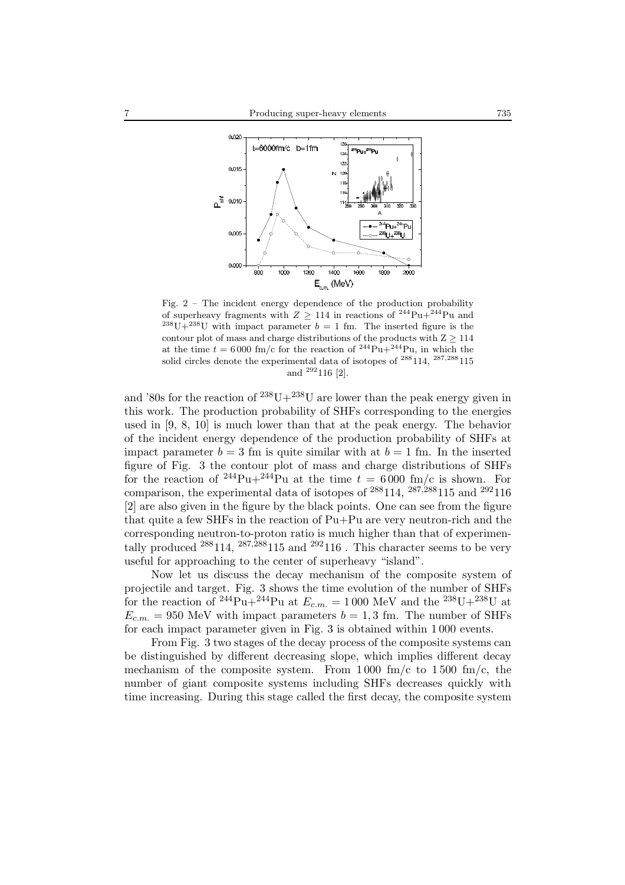

Fig. 2 – The incident energy dependence of the production probability of superheavy fragments with  $Z \ge 114$  in reactions of <sup>244</sup>Pu+<sup>244</sup>Pu and <sup>238</sup>U+<sup>238</sup>U with impact parameter  $b = 1$  fm. The inserted figure is the contour plot of mass and charge distributions of the products with  $Z \ge 114$ at the time  $t = 6000$  fm/c for the reaction of <sup>244</sup>Pu+<sup>244</sup>Pu, in which the solid circles denote the experimental data of isotopes of  $^{288}114$ ,  $^{287,288}115$ and <sup>292</sup>116 [2].

and '80s for the reaction of  $^{238}U+^{238}U$  are lower than the peak energy given in this work. The production probability of SHFs corresponding to the energies used in [9, 8, 10] is much lower than that at the peak energy. The behavior of the incident energy dependence of the production probability of SHFs at impact parameter  $b = 3$  fm is quite similar with at  $b = 1$  fm. In the inserted figure of Fig. 3 the contour plot of mass and charge distributions of SHFs for the reaction of <sup>244</sup>Pu+<sup>244</sup>Pu at the time  $t = 6000$  fm/c is shown. For comparison, the experimental data of isotopes of  $^{288}114$ ,  $^{287,288}115$  and  $^{292}116$ [2] are also given in the figure by the black points. One can see from the figure that quite a few SHFs in the reaction of Pu+Pu are very neutron-rich and the corresponding neutron-to-proton ratio is much higher than that of experimentally produced  $^{288}114$ ,  $^{287,288}115$  and  $^{292}116$ . This character seems to be very useful for approaching to the center of superheavy "island".

Now let us discuss the decay mechanism of the composite system of projectile and target. Fig. 3 shows the time evolution of the number of SHFs for the reaction of <sup>244</sup>Pu+<sup>244</sup>Pu at  $E_{c.m.} = 1000$  MeV and the <sup>238</sup>U+<sup>238</sup>U at  $E_{cm} = 950$  MeV with impact parameters  $b = 1, 3$  fm. The number of SHFs for each impact parameter given in Fig. 3 is obtained within 1 000 events.

From Fig. 3 two stages of the decay process of the composite systems can be distinguished by different decreasing slope, which implies different decay mechanism of the composite system. From 1000 fm/c to 1500 fm/c, the number of giant composite systems including SHFs decreases quickly with time increasing. During this stage called the first decay, the composite system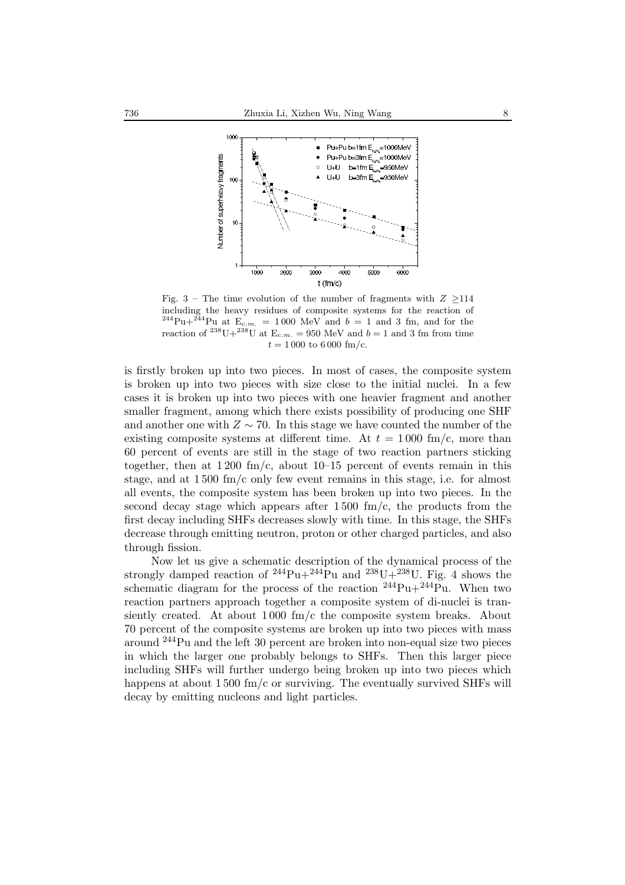

Fig. 3 – The time evolution of the number of fragments with  $Z \geq 114$ including the heavy residues of composite systems for the reaction of  $^{244}$ Pu+<sup>244</sup>Pu at E<sub>c.m.</sub> = 1000 MeV and b = 1 and 3 fm, and for the reaction of  $^{238}U+^{238}U$  at  $E_{c.m.} = 950$  MeV and  $b = 1$  and 3 fm from time  $t = 1000$  to 6000 fm/c.

is firstly broken up into two pieces. In most of cases, the composite system is broken up into two pieces with size close to the initial nuclei. In a few cases it is broken up into two pieces with one heavier fragment and another smaller fragment, among which there exists possibility of producing one SHF and another one with  $Z \sim 70$ . In this stage we have counted the number of the existing composite systems at different time. At  $t = 1000$  fm/c, more than 60 percent of events are still in the stage of two reaction partners sticking together, then at  $1\,200\ \mathrm{fm/c}$ , about  $10-15$  percent of events remain in this stage, and at 1 500 fm/c only few event remains in this stage, i.e. for almost all events, the composite system has been broken up into two pieces. In the second decay stage which appears after  $1500 \text{ fm/c}$ , the products from the first decay including SHFs decreases slowly with time. In this stage, the SHFs decrease through emitting neutron, proton or other charged particles, and also through fission.

Now let us give a schematic description of the dynamical process of the strongly damped reaction of  $^{244}Pu+^{244}Pu$  and  $^{238}U+^{238}U$ . Fig. 4 shows the schematic diagram for the process of the reaction  $^{244}Pu+^{244}Pu$ . When two reaction partners approach together a composite system of di-nuclei is transiently created. At about  $1000 \text{ fm/c}$  the composite system breaks. About 70 percent of the composite systems are broken up into two pieces with mass around <sup>244</sup>Pu and the left 30 percent are broken into non-equal size two pieces in which the larger one probably belongs to SHFs. Then this larger piece including SHFs will further undergo being broken up into two pieces which happens at about 1500 fm/c or surviving. The eventually survived SHFs will decay by emitting nucleons and light particles.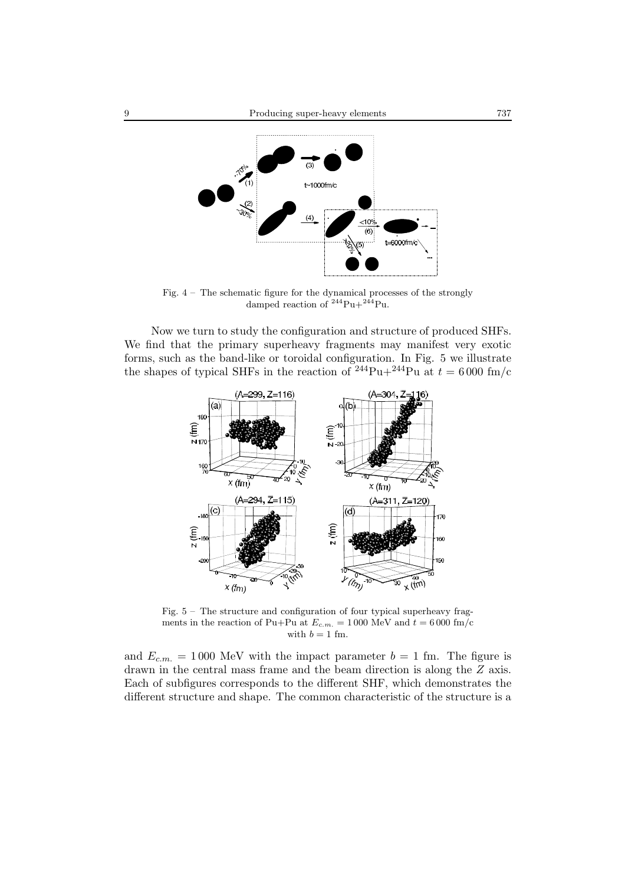

Fig. 4 – The schematic figure for the dynamical processes of the strongly damped reaction of  $244$ Pu+ $244$ Pu.

Now we turn to study the configuration and structure of produced SHFs. We find that the primary superheavy fragments may manifest very exotic forms, such as the band-like or toroidal configuration. In Fig. 5 we illustrate the shapes of typical SHFs in the reaction of <sup>244</sup>Pu+<sup>244</sup>Pu at  $t = 6000$  fm/c



Fig.  $5 -$ The structure and configuration of four typical superheavy fragments in the reaction of Pu+Pu at  $E_{c.m.} = 1000$  MeV and  $t = 6000$  fm/c with  $b = 1$  fm.

and  $E_{c.m.} = 1000$  MeV with the impact parameter  $b = 1$  fm. The figure is drawn in the central mass frame and the beam direction is along the Z axis. Each of subfigures corresponds to the different SHF, which demonstrates the different structure and shape. The common characteristic of the structure is a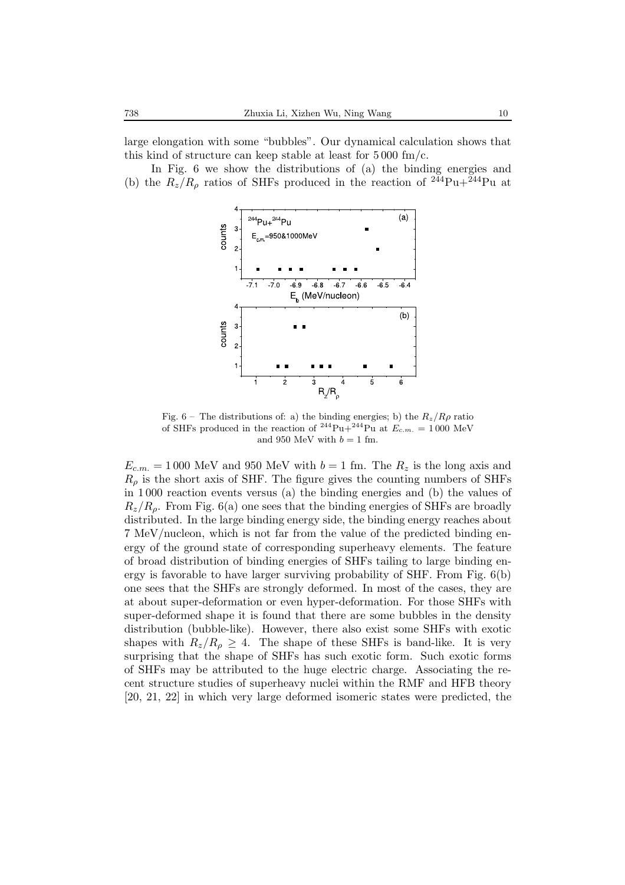large elongation with some "bubbles". Our dynamical calculation shows that this kind of structure can keep stable at least for  $5000 \text{ fm/c}$ .

In Fig. 6 we show the distributions of (a) the binding energies and (b) the  $R_z/R_\rho$  ratios of SHFs produced in the reaction of <sup>244</sup>Pu+<sup>244</sup>Pu at



Fig. 6 – The distributions of: a) the binding energies; b) the  $R_z/R\rho$  ratio of  $\text{SHEs}$  produced in the reaction of  $^{244}$ Pu  $^{244}$ Pu at  $F = -1.000 \text{ MeV}$ of SHFs produced in the reaction of <sup>244</sup>Pu+<sup>244</sup>Pu at  $E_{c.m.} = 1000$  MeV<br>and 050 MeV with  $b = 1$  fm and 950 MeV with  $b = 1$  fm.

 $E_{c.m.} = 1000$  MeV and 950 MeV with  $b = 1$  fm. The  $R_z$  is the long axis and  $R<sub>o</sub>$  is the short axis of SHF. The figure gives the counting numbers of SHFs in 1 000 reaction events versus (a) the binding energies and (b) the values of  $R_z/R_\rho$ . From Fig. 6(a) one sees that the binding energies of SHFs are broadly distributed. In the large binding energy side, the binding energy reaches about 7 MeV/nucleon, which is not far from the value of the predicted binding energy of the ground state of corresponding superheavy elements. The feature of broad distribution of binding energies of SHFs tailing to large binding energy is favorable to have larger surviving probability of SHF. From Fig. 6(b) one sees that the SHFs are strongly deformed. In most of the cases, they are at about super-deformation or even hyper-deformation. For those SHFs with super-deformed shape it is found that there are some bubbles in the density distribution (bubble-like). However, there also exist some SHFs with exotic shapes with  $R_z/R_\rho \geq 4$ . The shape of these SHFs is band-like. It is very surprising that the shape of SHFs has such exotic form. Such exotic forms of SHFs may be attributed to the huge electric charge. Associating the recent structure studies of superheavy nuclei within the RMF and HFB theory [20, 21, 22] in which very large deformed isomeric states were predicted, the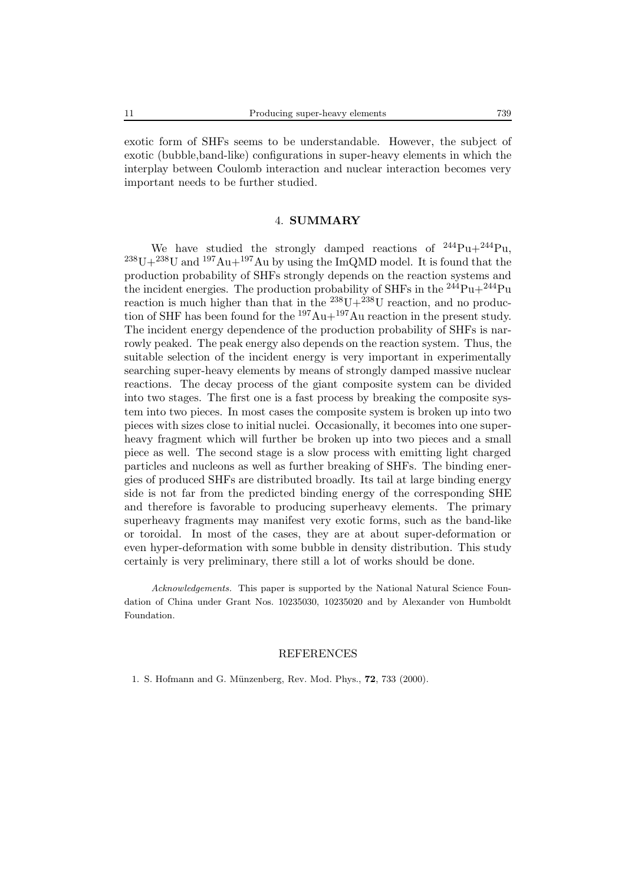exotic form of SHFs seems to be understandable. However, the subject of exotic (bubble,band-like) configurations in super-heavy elements in which the interplay between Coulomb interaction and nuclear interaction becomes very important needs to be further studied.

#### 4. **SUMMARY**

We have studied the strongly damped reactions of  $^{244}Pu+^{244}Pu$ .  $^{238}U+^{238}U$  and  $^{197}Au+^{197}Au$  by using the ImQMD model. It is found that the production probability of SHFs strongly depends on the reaction systems and the incident energies. The production probability of SHFs in the  $244$ Pu+ $244$ Pu reaction is much higher than that in the  $^{238}U+^{238}U$  reaction, and no production of SHF has been found for the  $197Au+197Au$  reaction in the present study. The incident energy dependence of the production probability of SHFs is narrowly peaked. The peak energy also depends on the reaction system. Thus, the suitable selection of the incident energy is very important in experimentally searching super-heavy elements by means of strongly damped massive nuclear reactions. The decay process of the giant composite system can be divided into two stages. The first one is a fast process by breaking the composite system into two pieces. In most cases the composite system is broken up into two pieces with sizes close to initial nuclei. Occasionally, it becomes into one superheavy fragment which will further be broken up into two pieces and a small piece as well. The second stage is a slow process with emitting light charged particles and nucleons as well as further breaking of SHFs. The binding energies of produced SHFs are distributed broadly. Its tail at large binding energy side is not far from the predicted binding energy of the corresponding SHE and therefore is favorable to producing superheavy elements. The primary superheavy fragments may manifest very exotic forms, such as the band-like or toroidal. In most of the cases, they are at about super-deformation or even hyper-deformation with some bubble in density distribution. This study certainly is very preliminary, there still a lot of works should be done.

*Acknowledgements.* This paper is supported by the National Natural Science Foundation of China under Grant Nos. 10235030, 10235020 and by Alexander von Humboldt Foundation.

#### REFERENCES

1. S. Hofmann and G. M¨unzenberg, Rev. Mod. Phys., **72**, 733 (2000).